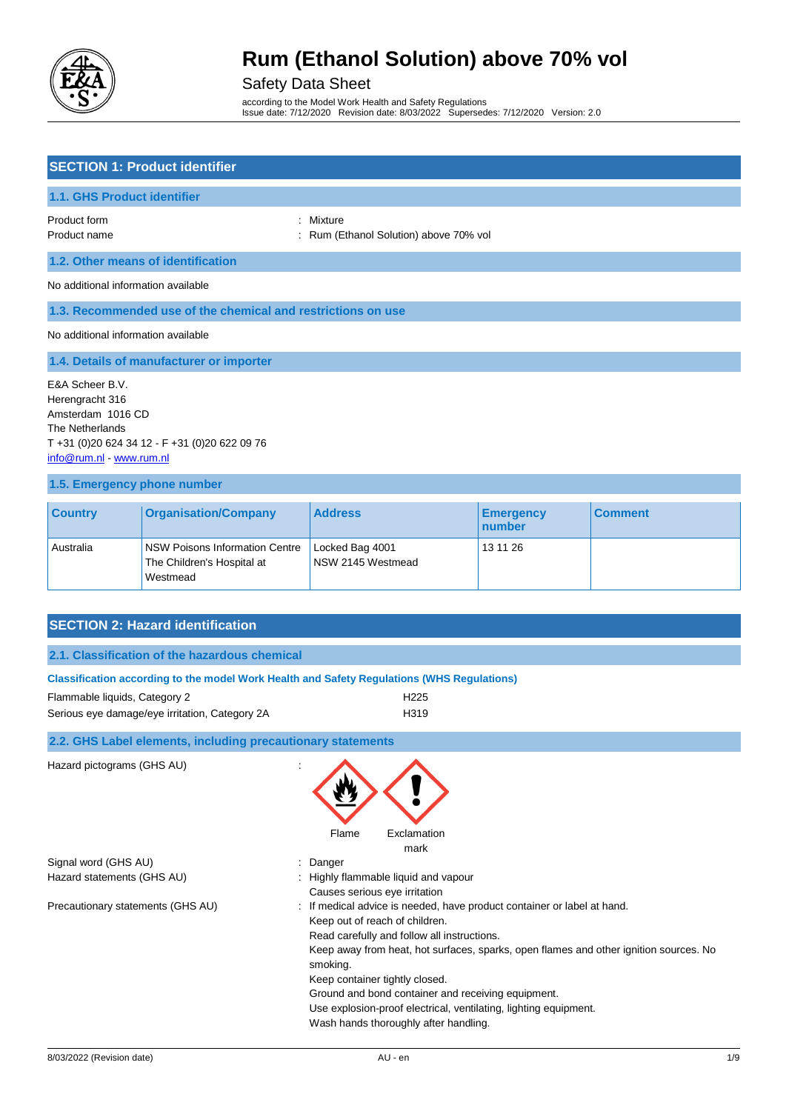

### Safety Data Sheet

according to the Model Work Health and Safety Regulations Issue date: 7/12/2020 Revision date: 8/03/2022 Supersedes: 7/12/2020 Version: 2.0

#### **SECTION 1: Product identifier**

#### **1.1. GHS Product identifier**

Product form **: Mixture** : Mixture

Product name **1988** Product name **: Rum (Ethanol Solution)** above 70% vol

#### **1.2. Other means of identification**

No additional information available

#### **1.3. Recommended use of the chemical and restrictions on use**

No additional information available

**1.4. Details of manufacturer or importer**

E&A Scheer B.V. Herengracht 316 Amsterdam 1016 CD The Netherlands T +31 (0)20 624 34 12 - F +31 (0)20 622 09 76 [info@rum.nl](mailto:info@rum.nl) - [www.rum.nl](http://www.rum.nl/)

#### **1.5. Emergency phone number**

| <b>Country</b> | <b>Organisation/Company</b>                                              | <b>Address</b>                       | <b>Emergency</b><br><u>  number</u> | <b>Comment</b> |
|----------------|--------------------------------------------------------------------------|--------------------------------------|-------------------------------------|----------------|
| Australia      | NSW Poisons Information Centre<br>The Children's Hospital at<br>Westmead | Locked Bag 4001<br>NSW 2145 Westmead | 13 11 26                            |                |

### **SECTION 2: Hazard identification**

| 2.1. Classification of the hazardous chemical |  |  |
|-----------------------------------------------|--|--|
|                                               |  |  |

| Classification according to the model Work Health and Safety Regulations (WHS Regulations) |                  |  |
|--------------------------------------------------------------------------------------------|------------------|--|
| Flammable liquids, Category 2                                                              | H <sub>225</sub> |  |
| Serious eye damage/eye irritation, Category 2A                                             | H <sub>319</sub> |  |

#### **2.2. GHS Label elements, including precautionary statements**

Hazard pictograms (GHS AU) :



Signal word (GHS AU) in the state of the Signal word (GHS AU) in the state of the Signal and Signal and Signal Signal and Signal and Signal Au and Signal and Signal Au and Signal Au and Signal Au and Signal Au and Signal A

- Hazard statements (GHS AU) : Highly flammable liquid and vapour Causes serious eye irritation
- Precautionary statements (GHS AU) : If medical advice is needed, have product container or label at hand.
	- Keep out of reach of children.
		- Read carefully and follow all instructions.
		- Keep away from heat, hot surfaces, sparks, open flames and other ignition sources. No smoking.
	- Keep container tightly closed.
		- Ground and bond container and receiving equipment.
	- Use explosion-proof electrical, ventilating, lighting equipment.
	- Wash hands thoroughly after handling.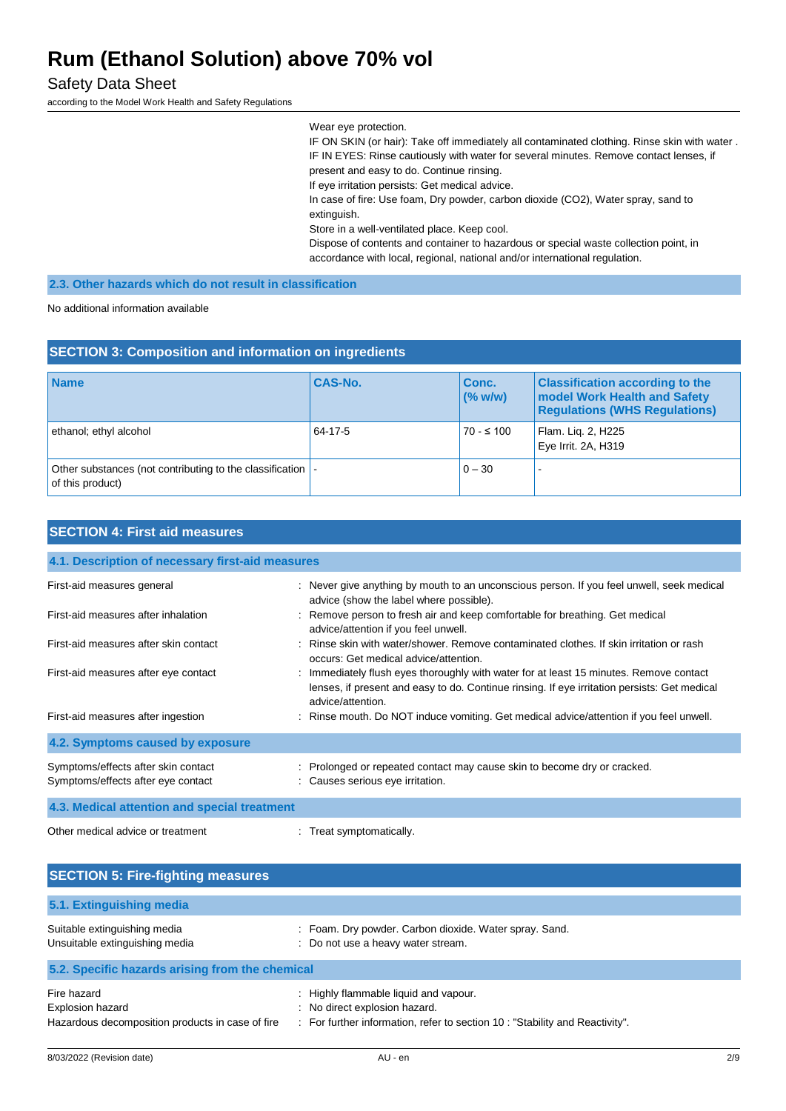#### Safety Data Sheet

according to the Model Work Health and Safety Regulations

Wear eye protection. IF ON SKIN (or hair): Take off immediately all contaminated clothing. Rinse skin with water . IF IN EYES: Rinse cautiously with water for several minutes. Remove contact lenses, if present and easy to do. Continue rinsing. If eye irritation persists: Get medical advice. In case of fire: Use foam, Dry powder, carbon dioxide (CO2), Water spray, sand to extinguish. Store in a well-ventilated place. Keep cool. Dispose of contents and container to hazardous or special waste collection point, in accordance with local, regional, national and/or international regulation.

### **2.3. Other hazards which do not result in classification**

No additional information available

| <b>SECTION 3: Composition and information on ingredients</b>                    |                |                  |                                                                                                                |
|---------------------------------------------------------------------------------|----------------|------------------|----------------------------------------------------------------------------------------------------------------|
| <b>Name</b>                                                                     | <b>CAS-No.</b> | Conc.<br>(% w/w) | <b>Classification according to the</b><br>model Work Health and Safety<br><b>Regulations (WHS Regulations)</b> |
| ethanol; ethyl alcohol                                                          | 64-17-5        | $70 - 5100$      | Flam. Liq. 2, H225<br>Eye Irrit. 2A, H319                                                                      |
| Other substances (not contributing to the classification  -<br>of this product) |                | $0 - 30$         |                                                                                                                |

### **SECTION 4: First aid measures**

| 4.1. Description of necessary first-aid measures                          |                                                                                                                                                                                                             |  |
|---------------------------------------------------------------------------|-------------------------------------------------------------------------------------------------------------------------------------------------------------------------------------------------------------|--|
| First-aid measures general                                                | : Never give anything by mouth to an unconscious person. If you feel unwell, seek medical<br>advice (show the label where possible).                                                                        |  |
| First-aid measures after inhalation                                       | : Remove person to fresh air and keep comfortable for breathing. Get medical<br>advice/attention if you feel unwell.                                                                                        |  |
| First-aid measures after skin contact                                     | : Rinse skin with water/shower, Remove contaminated clothes. If skin irritation or rash<br>occurs: Get medical advice/attention.                                                                            |  |
| First-aid measures after eye contact                                      | : Immediately flush eyes thoroughly with water for at least 15 minutes. Remove contact<br>lenses, if present and easy to do. Continue rinsing. If eye irritation persists: Get medical<br>advice/attention. |  |
| First-aid measures after ingestion                                        | : Rinse mouth. Do NOT induce vomiting. Get medical advice/attention if you feel unwell.                                                                                                                     |  |
| 4.2. Symptoms caused by exposure                                          |                                                                                                                                                                                                             |  |
| Symptoms/effects after skin contact<br>Symptoms/effects after eye contact | : Prolonged or repeated contact may cause skin to become dry or cracked.<br>: Causes serious eye irritation.                                                                                                |  |
| 4.3. Medical attention and special treatment                              |                                                                                                                                                                                                             |  |
| Other medical advice or treatment                                         | Treat symptomatically.                                                                                                                                                                                      |  |

| <b>SECTION 5: Fire-fighting measures</b>                                                   |                                                                                                                                                   |
|--------------------------------------------------------------------------------------------|---------------------------------------------------------------------------------------------------------------------------------------------------|
| 5.1. Extinguishing media                                                                   |                                                                                                                                                   |
| Suitable extinguishing media<br>Unsuitable extinguishing media                             | : Foam. Dry powder. Carbon dioxide. Water spray. Sand.<br>: Do not use a heavy water stream.                                                      |
| 5.2. Specific hazards arising from the chemical                                            |                                                                                                                                                   |
| Fire hazard<br><b>Explosion hazard</b><br>Hazardous decomposition products in case of fire | : Highly flammable liquid and vapour.<br>No direct explosion hazard.<br>For further information, refer to section 10: "Stability and Reactivity". |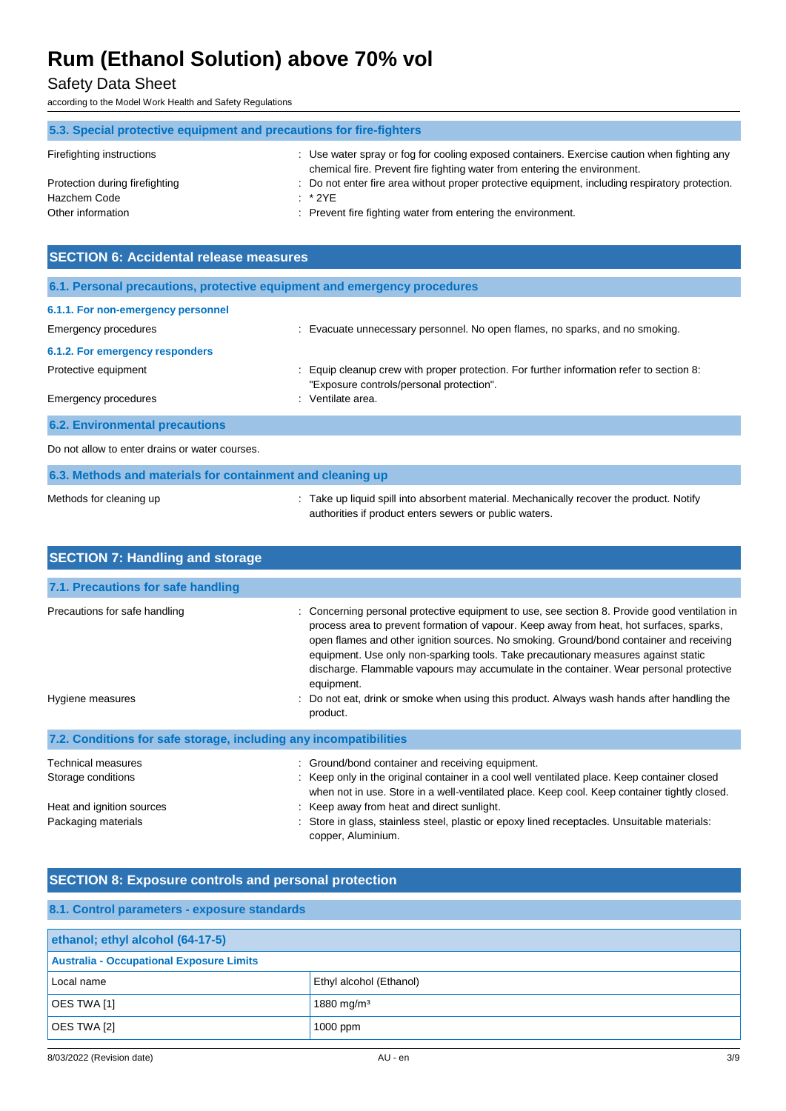### Safety Data Sheet

according to the Model Work Health and Safety Regulations

| 5.3. Special protective equipment and precautions for fire-fighters |                                                                                                                                                                          |  |
|---------------------------------------------------------------------|--------------------------------------------------------------------------------------------------------------------------------------------------------------------------|--|
| Firefighting instructions                                           | : Use water spray or fog for cooling exposed containers. Exercise caution when fighting any<br>chemical fire. Prevent fire fighting water from entering the environment. |  |
| Protection during firefighting                                      | : Do not enter fire area without proper protective equipment, including respiratory protection.                                                                          |  |
| Hazchem Code                                                        | $:$ * 2YE                                                                                                                                                                |  |
| Other information                                                   | : Prevent fire fighting water from entering the environment.                                                                                                             |  |

| <b>SECTION 6: Accidental release measures</b>                            |                                                                                                                                      |  |  |
|--------------------------------------------------------------------------|--------------------------------------------------------------------------------------------------------------------------------------|--|--|
| 6.1. Personal precautions, protective equipment and emergency procedures |                                                                                                                                      |  |  |
| 6.1.1. For non-emergency personnel                                       |                                                                                                                                      |  |  |
| Emergency procedures                                                     | : Evacuate unnecessary personnel. No open flames, no sparks, and no smoking.                                                         |  |  |
| 6.1.2. For emergency responders                                          |                                                                                                                                      |  |  |
| Protective equipment                                                     | : Equip cleanup crew with proper protection. For further information refer to section 8:<br>"Exposure controls/personal protection". |  |  |
| <b>Emergency procedures</b>                                              | : Ventilate area.                                                                                                                    |  |  |
| <b>6.2. Environmental precautions</b>                                    |                                                                                                                                      |  |  |
| Do not allow to enter drains or water courses.                           |                                                                                                                                      |  |  |
| 6.3. Methods and materials for containment and cleaning up               |                                                                                                                                      |  |  |

| Mathods for clasning up |  |  |
|-------------------------|--|--|

Methods for cleaning up **interproduct**: Take up liquid spill into absorbent material. Mechanically recover the product. Notify authorities if product enters sewers or public waters.

| <b>SECTION 7: Handling and storage</b>                            |                                                                                                                                                                                                                                                                                                                                                                                                                                                                                                                                                                                           |  |  |  |
|-------------------------------------------------------------------|-------------------------------------------------------------------------------------------------------------------------------------------------------------------------------------------------------------------------------------------------------------------------------------------------------------------------------------------------------------------------------------------------------------------------------------------------------------------------------------------------------------------------------------------------------------------------------------------|--|--|--|
| 7.1. Precautions for safe handling                                |                                                                                                                                                                                                                                                                                                                                                                                                                                                                                                                                                                                           |  |  |  |
| Precautions for safe handling<br>Hygiene measures                 | Concerning personal protective equipment to use, see section 8. Provide good ventilation in<br>process area to prevent formation of vapour. Keep away from heat, hot surfaces, sparks,<br>open flames and other ignition sources. No smoking. Ground/bond container and receiving<br>equipment. Use only non-sparking tools. Take precautionary measures against static<br>discharge. Flammable vapours may accumulate in the container. Wear personal protective<br>equipment.<br>: Do not eat, drink or smoke when using this product. Always wash hands after handling the<br>product. |  |  |  |
| 7.2. Conditions for safe storage, including any incompatibilities |                                                                                                                                                                                                                                                                                                                                                                                                                                                                                                                                                                                           |  |  |  |
| <b>Technical measures</b><br>Storage conditions                   | : Ground/bond container and receiving equipment.<br>: Keep only in the original container in a cool well ventilated place. Keep container closed<br>when not in use. Store in a well-ventilated place. Keep cool. Keep container tightly closed.                                                                                                                                                                                                                                                                                                                                          |  |  |  |
| Heat and ignition sources<br>Packaging materials                  | : Keep away from heat and direct sunlight.<br>Store in glass, stainless steel, plastic or epoxy lined receptacles. Unsuitable materials:<br>copper, Aluminium.                                                                                                                                                                                                                                                                                                                                                                                                                            |  |  |  |

### **SECTION 8: Exposure controls and personal protection**

| 8.1. Control parameters - exposure standards    |                         |  |
|-------------------------------------------------|-------------------------|--|
| ethanol; ethyl alcohol (64-17-5)                |                         |  |
| <b>Australia - Occupational Exposure Limits</b> |                         |  |
| Local name                                      | Ethyl alcohol (Ethanol) |  |
| OES TWA [1]                                     | 1880 mg/m <sup>3</sup>  |  |
| OES TWA [2]                                     | 1000 ppm                |  |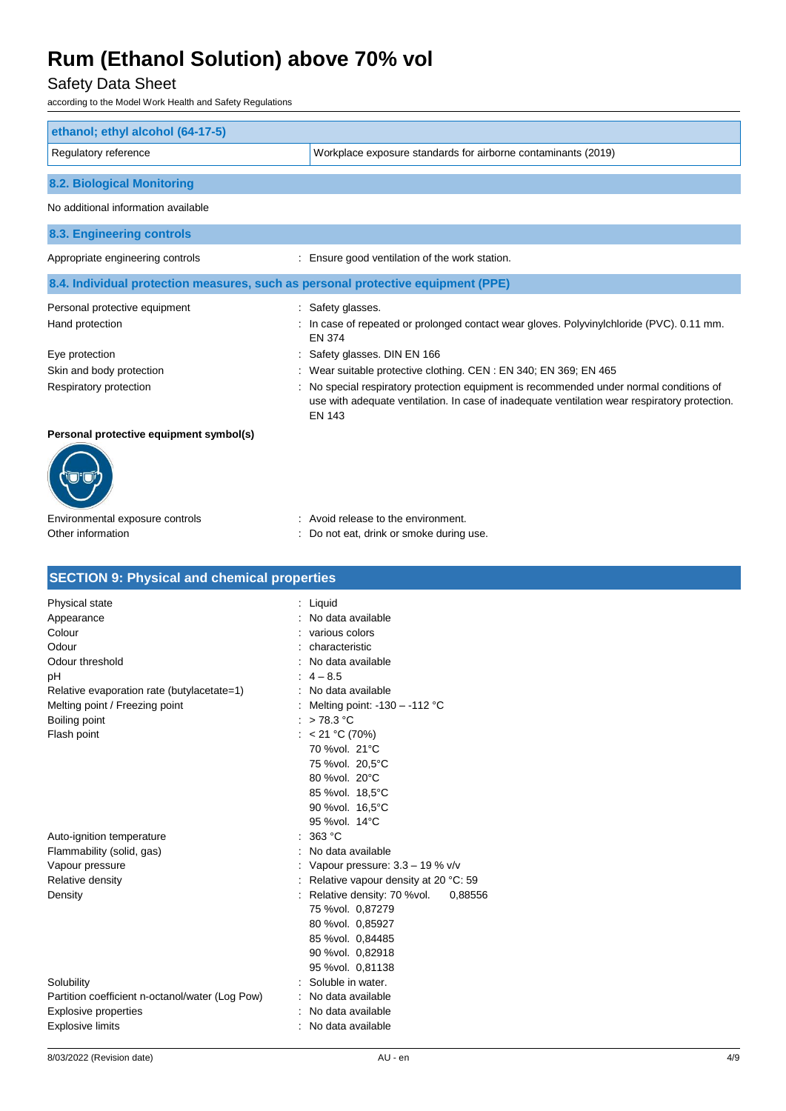### Safety Data Sheet

according to the Model Work Health and Safety Regulations

| ethanol; ethyl alcohol (64-17-5)                                                 |                                                                                                                                                                                                         |
|----------------------------------------------------------------------------------|---------------------------------------------------------------------------------------------------------------------------------------------------------------------------------------------------------|
| Regulatory reference                                                             | Workplace exposure standards for airborne contaminants (2019)                                                                                                                                           |
|                                                                                  |                                                                                                                                                                                                         |
| <b>8.2. Biological Monitoring</b>                                                |                                                                                                                                                                                                         |
| No additional information available                                              |                                                                                                                                                                                                         |
| 8.3. Engineering controls                                                        |                                                                                                                                                                                                         |
| Appropriate engineering controls                                                 | Ensure good ventilation of the work station.                                                                                                                                                            |
| 8.4. Individual protection measures, such as personal protective equipment (PPE) |                                                                                                                                                                                                         |
| Personal protective equipment                                                    | : Safety glasses.                                                                                                                                                                                       |
| Hand protection                                                                  | : In case of repeated or prolonged contact wear gloves. Polyvinylchloride (PVC). 0.11 mm.<br>EN 374                                                                                                     |
| Eye protection                                                                   | Safety glasses. DIN EN 166                                                                                                                                                                              |
| Skin and body protection                                                         | Wear suitable protective clothing. CEN: EN 340; EN 369; EN 465                                                                                                                                          |
| Respiratory protection                                                           | No special respiratory protection equipment is recommended under normal conditions of<br>use with adequate ventilation. In case of inadequate ventilation wear respiratory protection.<br><b>EN 143</b> |
| Personal protective equipment symbol(s)                                          |                                                                                                                                                                                                         |
|                                                                                  |                                                                                                                                                                                                         |

# Environmental exposure controls : Avoid release to the environment.

Other information **Other information** : Do not eat, drink or smoke during use.

| Physical state                                  | $:$ Liquid                              |  |
|-------------------------------------------------|-----------------------------------------|--|
| Appearance                                      | No data available<br>$\cdot$            |  |
| Colour                                          | various colors                          |  |
| Odour                                           | characteristic                          |  |
| Odour threshold                                 | No data available                       |  |
| pH                                              | $: 4 - 8.5$                             |  |
| Relative evaporation rate (butylacetate=1)      | : No data available                     |  |
| Melting point / Freezing point                  | Melting point: $-130 - -112$ °C         |  |
| Boiling point                                   | : $>78.3$ °C                            |  |
| Flash point                                     | : $< 21 °C (70%)$                       |  |
|                                                 | 70 %vol. 21°C                           |  |
|                                                 | 75 %vol. 20,5°C                         |  |
|                                                 | 80 %vol. 20°C                           |  |
|                                                 | 85 %vol. 18,5°C                         |  |
|                                                 | 90 %vol. 16,5°C                         |  |
|                                                 | 95 % vol. 14°C                          |  |
| Auto-ignition temperature                       | 363 °C                                  |  |
| Flammability (solid, gas)                       | No data available                       |  |
| Vapour pressure                                 | : Vapour pressure: $3.3 - 19$ % v/v     |  |
| Relative density                                | Relative vapour density at 20 °C: 59    |  |
| Density                                         | : Relative density: 70 %vol.<br>0,88556 |  |
|                                                 | 75 %vol. 0,87279                        |  |
|                                                 | 80 %vol. 0,85927                        |  |
|                                                 | 85 %vol. 0,84485                        |  |
|                                                 | 90 %vol. 0,82918                        |  |
|                                                 | 95 %vol. 0,81138                        |  |
| Solubility                                      | Soluble in water.                       |  |
| Partition coefficient n-octanol/water (Log Pow) | No data available                       |  |
| <b>Explosive properties</b>                     | No data available                       |  |
| <b>Explosive limits</b>                         | No data available                       |  |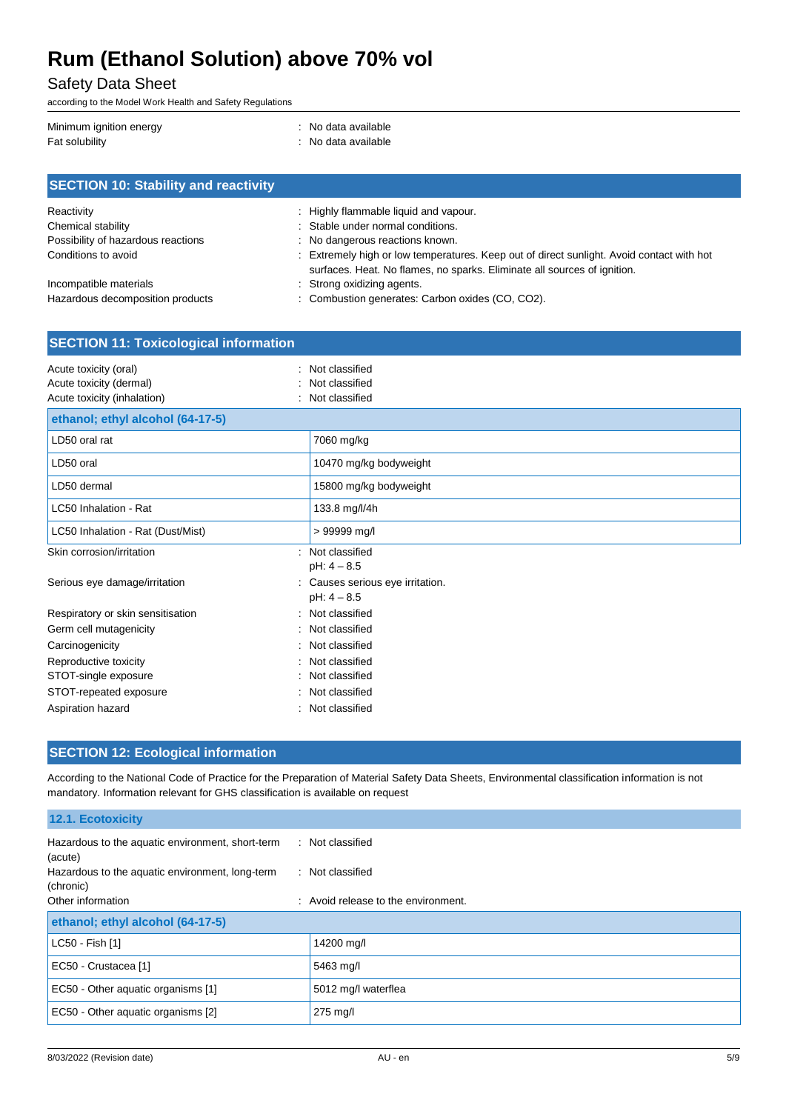### Safety Data Sheet

according to the Model Work Health and Safety Regulations

| Minimum ignition energy | : No data available |
|-------------------------|---------------------|
| Fat solubility          | : No data available |

| <b>SECTION 10: Stability and reactivity</b> |                                                                                                                                                                       |  |  |
|---------------------------------------------|-----------------------------------------------------------------------------------------------------------------------------------------------------------------------|--|--|
| Reactivity                                  | : Highly flammable liquid and vapour.                                                                                                                                 |  |  |
| Chemical stability                          | : Stable under normal conditions.                                                                                                                                     |  |  |
| Possibility of hazardous reactions          | : No dangerous reactions known.                                                                                                                                       |  |  |
| Conditions to avoid                         | : Extremely high or low temperatures. Keep out of direct sunlight. Avoid contact with hot<br>surfaces. Heat. No flames, no sparks. Eliminate all sources of ignition. |  |  |
| Incompatible materials                      | : Strong oxidizing agents.                                                                                                                                            |  |  |
| Hazardous decomposition products            | : Combustion generates: Carbon oxides (CO, CO2).                                                                                                                      |  |  |

| <b>SECTION 11: Toxicological information</b>                                    |                                                    |  |
|---------------------------------------------------------------------------------|----------------------------------------------------|--|
| Acute toxicity (oral)<br>Acute toxicity (dermal)<br>Acute toxicity (inhalation) | Not classified<br>Not classified<br>Not classified |  |
| ethanol; ethyl alcohol (64-17-5)                                                |                                                    |  |
| LD50 oral rat                                                                   | 7060 mg/kg                                         |  |
| LD50 oral                                                                       | 10470 mg/kg bodyweight                             |  |
| LD50 dermal                                                                     | 15800 mg/kg bodyweight                             |  |
| LC50 Inhalation - Rat                                                           | 133.8 mg/l/4h                                      |  |
| LC50 Inhalation - Rat (Dust/Mist)                                               | > 99999 mg/l                                       |  |
| Skin corrosion/irritation                                                       | Not classified<br>$\bullet$<br>$pH: 4 - 8.5$       |  |
| Serious eye damage/irritation                                                   | Causes serious eye irritation.<br>$pH: 4 - 8.5$    |  |
| Respiratory or skin sensitisation                                               | Not classified                                     |  |
| Germ cell mutagenicity                                                          | Not classified                                     |  |
| Carcinogenicity                                                                 | Not classified                                     |  |
| Reproductive toxicity                                                           | Not classified                                     |  |
| STOT-single exposure                                                            | Not classified                                     |  |
| STOT-repeated exposure                                                          | Not classified                                     |  |
| Aspiration hazard                                                               | Not classified                                     |  |

### **SECTION 12: Ecological information**

According to the National Code of Practice for the Preparation of Material Safety Data Sheets, Environmental classification information is not mandatory. Information relevant for GHS classification is available on request

#### **12.1. Ecotoxicity**

| Hazardous to the aquatic environment, short-term<br>(acute)  | : Not classified                               |
|--------------------------------------------------------------|------------------------------------------------|
| Hazardous to the aquatic environment, long-term<br>(chronic) | : Not classified                               |
| Other information                                            | $\therefore$ Avoid release to the environment. |
| ethanol; ethyl alcohol (64-17-5)                             |                                                |
| LC50 - Fish [1]                                              | 14200 mg/l                                     |
| EC50 - Crustacea [1]                                         | 5463 mg/l                                      |
| EC50 - Other aquatic organisms [1]                           | 5012 mg/l waterflea                            |
| EC50 - Other aquatic organisms [2]                           | $275 \text{ mg/l}$                             |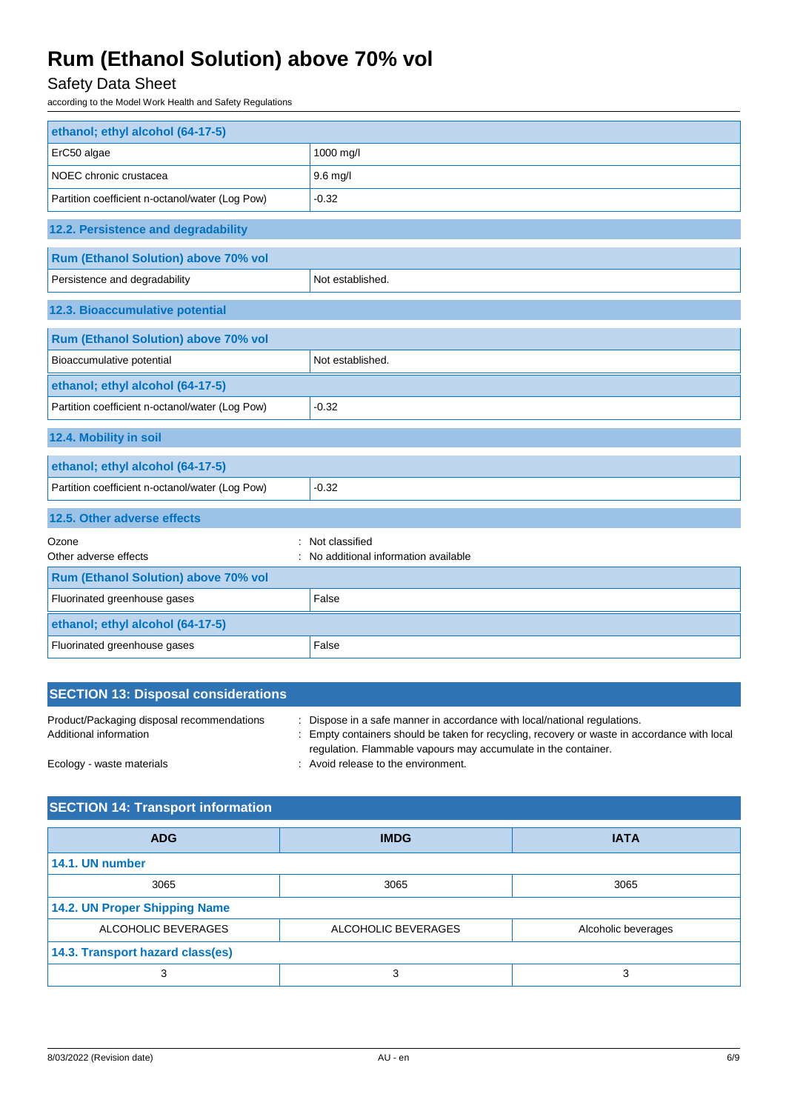## Safety Data Sheet

according to the Model Work Health and Safety Regulations

| ethanol; ethyl alcohol (64-17-5)                |                                     |
|-------------------------------------------------|-------------------------------------|
| ErC50 algae                                     | 1000 mg/l                           |
| NOEC chronic crustacea                          | 9.6 mg/l                            |
| Partition coefficient n-octanol/water (Log Pow) | $-0.32$                             |
| 12.2. Persistence and degradability             |                                     |
| Rum (Ethanol Solution) above 70% vol            |                                     |
| Persistence and degradability                   | Not established.                    |
| 12.3. Bioaccumulative potential                 |                                     |
| Rum (Ethanol Solution) above 70% vol            |                                     |
| Bioaccumulative potential                       | Not established.                    |
| ethanol; ethyl alcohol (64-17-5)                |                                     |
| Partition coefficient n-octanol/water (Log Pow) | $-0.32$                             |
| 12.4. Mobility in soil                          |                                     |
| ethanol; ethyl alcohol (64-17-5)                |                                     |
| Partition coefficient n-octanol/water (Log Pow) | $-0.32$                             |
| 12.5. Other adverse effects                     |                                     |
| Ozone                                           | Not classified                      |
| Other adverse effects                           | No additional information available |
| Rum (Ethanol Solution) above 70% vol            |                                     |
| Fluorinated greenhouse gases                    | False                               |
| ethanol; ethyl alcohol (64-17-5)                |                                     |
| Fluorinated greenhouse gases                    | False                               |

| <b>SECTION 13: Disposal considerations</b>                           |                                                                                                                                                                                                                                         |
|----------------------------------------------------------------------|-----------------------------------------------------------------------------------------------------------------------------------------------------------------------------------------------------------------------------------------|
| Product/Packaging disposal recommendations<br>Additional information | Dispose in a safe manner in accordance with local/national regulations.<br>Empty containers should be taken for recycling, recovery or waste in accordance with local<br>regulation. Flammable vapours may accumulate in the container. |
| Ecology - waste materials                                            | : Avoid release to the environment.                                                                                                                                                                                                     |

## **SECTION 14: Transport information**

| <b>ADG</b>                       | <b>IMDG</b>         | <b>IATA</b>         |
|----------------------------------|---------------------|---------------------|
| 14.1. UN number                  |                     |                     |
| 3065                             | 3065                | 3065                |
| 14.2. UN Proper Shipping Name    |                     |                     |
| ALCOHOLIC BEVERAGES              | ALCOHOLIC BEVERAGES | Alcoholic beverages |
| 14.3. Transport hazard class(es) |                     |                     |
| 3                                | 3                   |                     |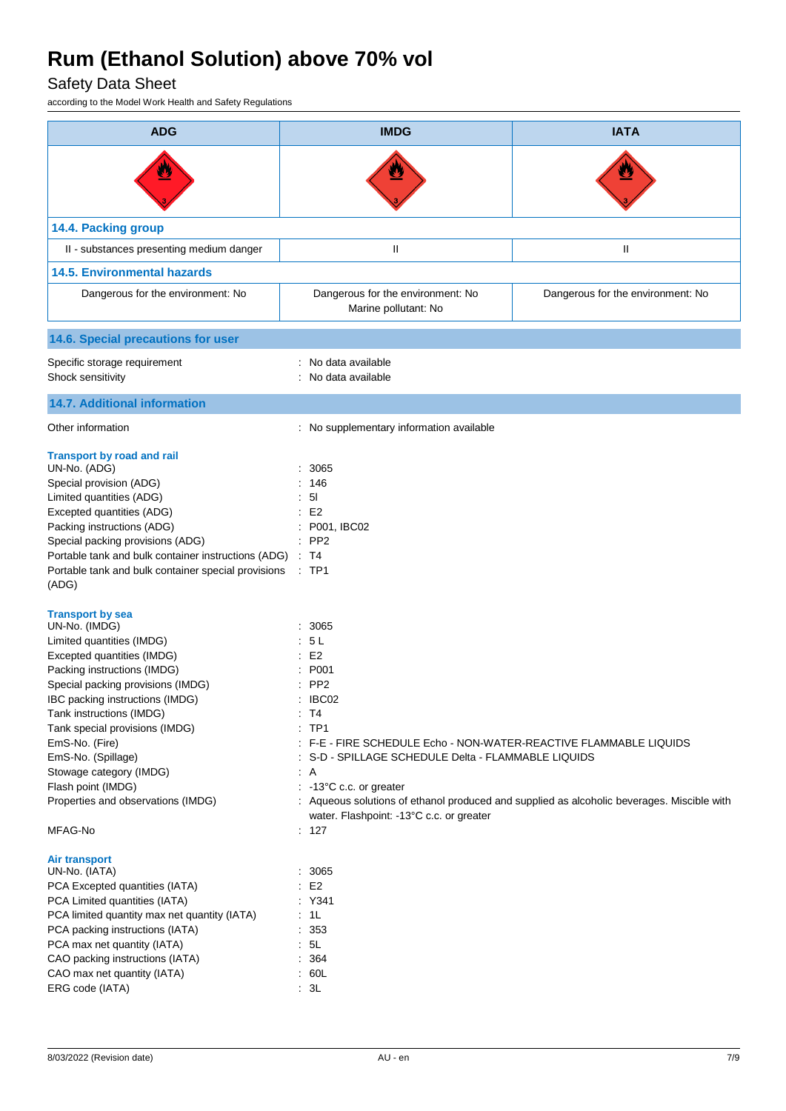## Safety Data Sheet

according to the Model Work Health and Safety Regulations

| <b>ADG</b>                                                                                                                                                                                                                                                                                                                                                                                                         | <b>IMDG</b>                                                                                                                                                                                                                                                                                                          | <b>IATA</b>                                                                                |
|--------------------------------------------------------------------------------------------------------------------------------------------------------------------------------------------------------------------------------------------------------------------------------------------------------------------------------------------------------------------------------------------------------------------|----------------------------------------------------------------------------------------------------------------------------------------------------------------------------------------------------------------------------------------------------------------------------------------------------------------------|--------------------------------------------------------------------------------------------|
|                                                                                                                                                                                                                                                                                                                                                                                                                    |                                                                                                                                                                                                                                                                                                                      |                                                                                            |
| 14.4. Packing group                                                                                                                                                                                                                                                                                                                                                                                                |                                                                                                                                                                                                                                                                                                                      |                                                                                            |
| II - substances presenting medium danger                                                                                                                                                                                                                                                                                                                                                                           | $\mathsf{I}\mathsf{I}$                                                                                                                                                                                                                                                                                               | $\mathsf{I}$                                                                               |
| <b>14.5. Environmental hazards</b>                                                                                                                                                                                                                                                                                                                                                                                 |                                                                                                                                                                                                                                                                                                                      |                                                                                            |
| Dangerous for the environment: No                                                                                                                                                                                                                                                                                                                                                                                  | Dangerous for the environment: No<br>Marine pollutant: No                                                                                                                                                                                                                                                            | Dangerous for the environment: No                                                          |
| 14.6. Special precautions for user                                                                                                                                                                                                                                                                                                                                                                                 |                                                                                                                                                                                                                                                                                                                      |                                                                                            |
| Specific storage requirement<br>Shock sensitivity                                                                                                                                                                                                                                                                                                                                                                  | No data available<br>No data available                                                                                                                                                                                                                                                                               |                                                                                            |
| <b>14.7. Additional information</b>                                                                                                                                                                                                                                                                                                                                                                                |                                                                                                                                                                                                                                                                                                                      |                                                                                            |
| Other information                                                                                                                                                                                                                                                                                                                                                                                                  | : No supplementary information available                                                                                                                                                                                                                                                                             |                                                                                            |
| <b>Transport by road and rail</b><br>UN-No. (ADG)<br>Special provision (ADG)<br>Limited quantities (ADG)<br>Excepted quantities (ADG)<br>Packing instructions (ADG)<br>Special packing provisions (ADG)<br>Portable tank and bulk container instructions (ADG)<br>Portable tank and bulk container special provisions<br>(ADG)                                                                                     | 3065<br>146<br>5 <sub>l</sub><br>E <sub>2</sub><br>P001, IBC02<br>PP <sub>2</sub><br>T4<br>$:$ TP1                                                                                                                                                                                                                   |                                                                                            |
| <b>Transport by sea</b><br>UN-No. (IMDG)<br>Limited quantities (IMDG)<br>Excepted quantities (IMDG)<br>Packing instructions (IMDG)<br>Special packing provisions (IMDG)<br>IBC packing instructions (IMDG)<br>Tank instructions (IMDG)<br>Tank special provisions (IMDG)<br>EmS-No. (Fire)<br>EmS-No. (Spillage)<br>Stowage category (IMDG)<br>Flash point (IMDG)<br>Properties and observations (IMDG)<br>MFAG-No | 3065<br>5L<br>E <sub>2</sub><br>P001<br>PP <sub>2</sub><br>IBC02<br>T4<br>÷<br>TP <sub>1</sub><br>÷<br>: F-E - FIRE SCHEDULE Echo - NON-WATER-REACTIVE FLAMMABLE LIQUIDS<br>S-D - SPILLAGE SCHEDULE Delta - FLAMMABLE LIQUIDS<br>: A<br>: -13°C c.c. or greater<br>water. Flashpoint: -13°C c.c. or greater<br>: 127 | : Aqueous solutions of ethanol produced and supplied as alcoholic beverages. Miscible with |
| Air transport<br>UN-No. (IATA)<br>PCA Excepted quantities (IATA)<br>PCA Limited quantities (IATA)<br>PCA limited quantity max net quantity (IATA)<br>PCA packing instructions (IATA)<br>PCA max net quantity (IATA)<br>CAO packing instructions (IATA)<br>CAO max net quantity (IATA)<br>ERG code (IATA)                                                                                                           | 3065<br>E <sub>2</sub><br>÷<br>: Y341<br>$\therefore$ 1L<br>: 353<br>: 5L<br>364<br>÷.<br>: 60L<br>$\therefore$ 3L                                                                                                                                                                                                   |                                                                                            |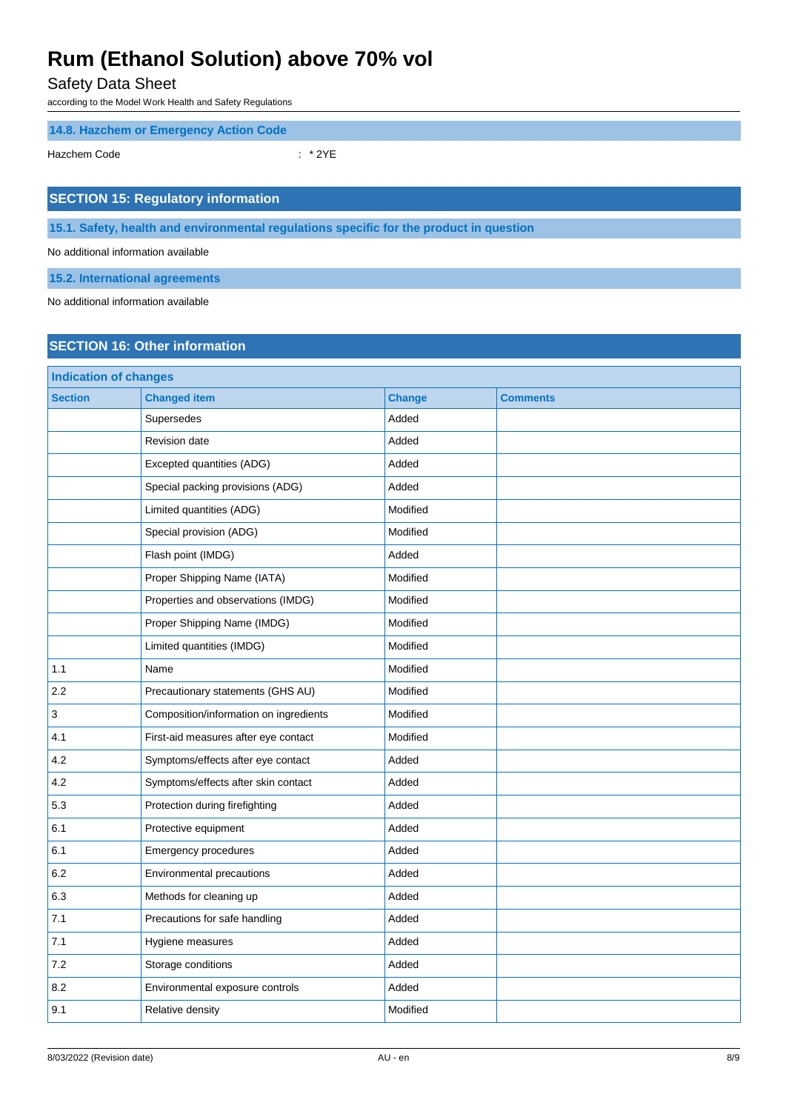Safety Data Sheet

according to the Model Work Health and Safety Regulations

**14.8. Hazchem or Emergency Action Code**

Hazchem Code : \* 2YE

### **SECTION 15: Regulatory information**

**15.1. Safety, health and environmental regulations specific for the product in question**

No additional information available

**15.2. International agreements**

No additional information available

### **SECTION 16: Other information**

| <b>Indication of changes</b> |                                        |               |                 |
|------------------------------|----------------------------------------|---------------|-----------------|
| <b>Section</b>               | <b>Changed item</b>                    | <b>Change</b> | <b>Comments</b> |
|                              | Supersedes                             | Added         |                 |
|                              | Revision date                          | Added         |                 |
|                              | Excepted quantities (ADG)              | Added         |                 |
|                              | Special packing provisions (ADG)       | Added         |                 |
|                              | Limited quantities (ADG)               | Modified      |                 |
|                              | Special provision (ADG)                | Modified      |                 |
|                              | Flash point (IMDG)                     | Added         |                 |
|                              | Proper Shipping Name (IATA)            | Modified      |                 |
|                              | Properties and observations (IMDG)     | Modified      |                 |
|                              | Proper Shipping Name (IMDG)            | Modified      |                 |
|                              | Limited quantities (IMDG)              | Modified      |                 |
| 1.1                          | Name                                   | Modified      |                 |
| 2.2                          | Precautionary statements (GHS AU)      | Modified      |                 |
| 3                            | Composition/information on ingredients | Modified      |                 |
| 4.1                          | First-aid measures after eye contact   | Modified      |                 |
| 4.2                          | Symptoms/effects after eye contact     | Added         |                 |
| 4.2                          | Symptoms/effects after skin contact    | Added         |                 |
| 5.3                          | Protection during firefighting         | Added         |                 |
| 6.1                          | Protective equipment                   | Added         |                 |
| 6.1                          | <b>Emergency procedures</b>            | Added         |                 |
| 6.2                          | Environmental precautions              | Added         |                 |
| 6.3                          | Methods for cleaning up                | Added         |                 |
| 7.1                          | Precautions for safe handling          | Added         |                 |
| 7.1                          | Hygiene measures                       | Added         |                 |
| 7.2                          | Storage conditions                     | Added         |                 |
| 8.2                          | Environmental exposure controls        | Added         |                 |
| 9.1                          | Relative density                       | Modified      |                 |